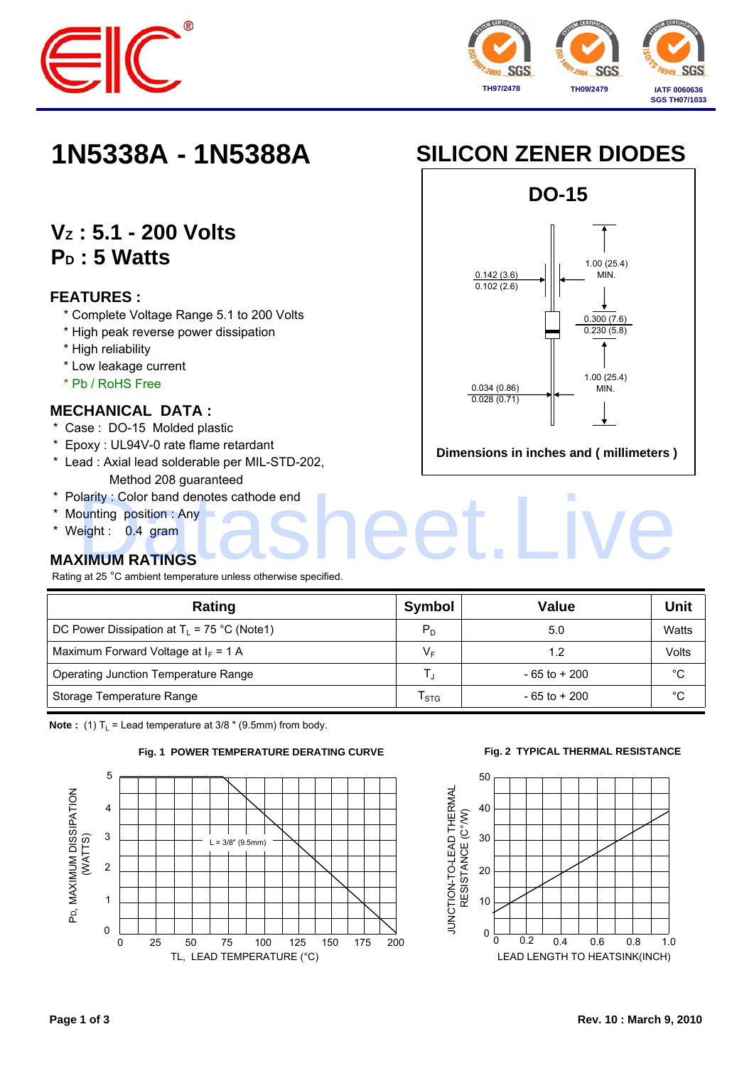



# **VZ : 5.1 - 200 Volts** P<sub>D</sub>: 5 Watts

### **FEATURES :**

- \* Complete Voltage Range 5.1 to 200 Volts
- \* High peak reverse power dissipation
- \* High reliability
- \* Low leakage current
- \* Pb / RoHS Free

### **MECHANICAL DATA :**

- \* Case : DO-15 Molded plastic
- \* Epoxy : UL94V-0 rate flame retardant
- \* Lead : Axial lead solderable per MIL-STD-202, Method 208 guaranteed
- \* Polarity : Color band denotes cathode end Darity : Color band denotes cathode end<br>
punting position : Any<br>
eight : 0.4 gram<br> **KIMUM RATINGS**
- \* Mounting position : Any
- \* Weight : 0.4 gram

## **MAXIMUM RATINGS**

Rating at 25 °C ambient temperature unless otherwise specified.

| Rating                                        | Symbol                      | <b>Value</b>    | Unit  |
|-----------------------------------------------|-----------------------------|-----------------|-------|
| DC Power Dissipation at $T_L$ = 75 °C (Note1) | $P_{D}$                     | 5.0             | Watts |
| Maximum Forward Voltage at $I_F = 1$ A        | VE                          | 1.2             | Volts |
| Operating Junction Temperature Range          |                             | $-65$ to $+200$ | °C    |
| Storage Temperature Range                     | $\mathsf{I}_{\mathsf{STG}}$ | $-65$ to $+200$ | °C    |

**Note :** (1)  $T_L$  = Lead temperature at 3/8 " (9.5mm) from body.



#### **Fig. 2 TYPICAL THERMAL RESISTANCE**







**Dimensions in inches and ( millimeters )**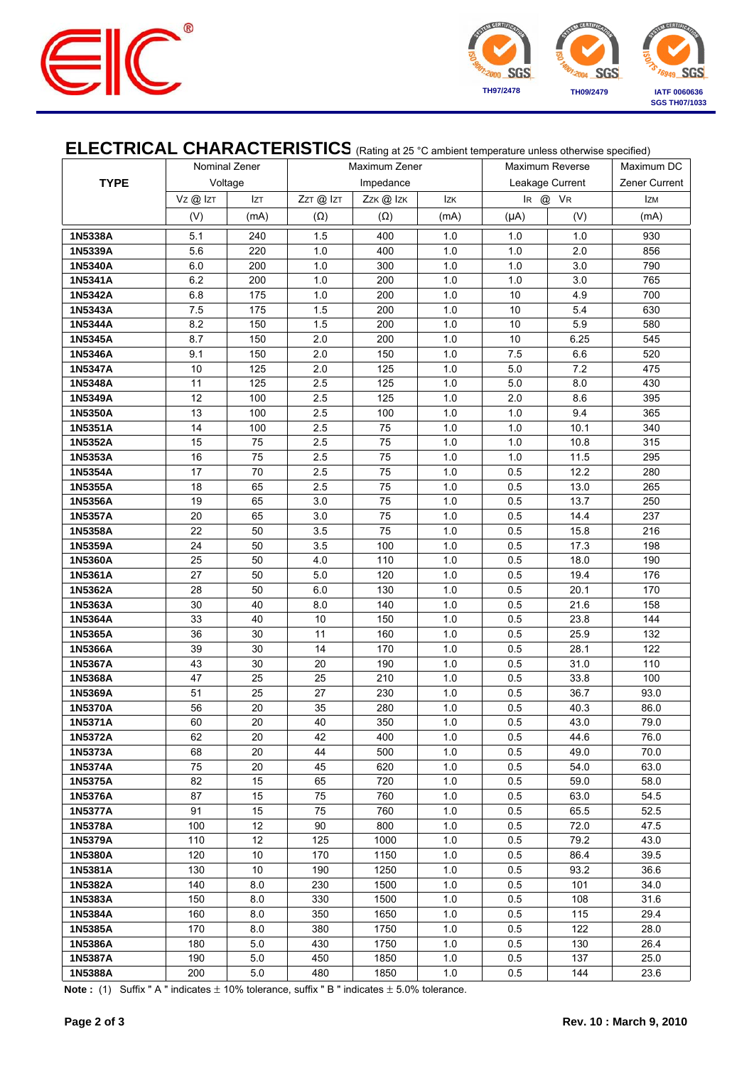



## ELECTRICAL CHARACTERISTICS (Rating at 25 °C ambient temperature unless otherwise specified)

|                    | Nominal Zener |          | Maximum Zener |            |            | Maximum Reverse |                 | Maximum DC                  |
|--------------------|---------------|----------|---------------|------------|------------|-----------------|-----------------|-----------------------------|
| <b>TYPE</b>        |               | Voltage  |               | Impedance  |            |                 | Leakage Current |                             |
|                    | Vz@lzT        | Izt      | ZzT @ IzT     | Zzk @ Izk  | lzk        | IR @ VR         |                 | Zener Current<br><b>IzM</b> |
|                    | (V)           | (mA)     | $(\Omega)$    | $(\Omega)$ | (mA)       | $(\mu A)$       | (V)             | (mA)                        |
| 1N5338A            | 5.1           | 240      | 1.5           | 400        | 1.0        | 1.0             | 1.0             | 930                         |
| 1N5339A            | 5.6           | 220      | 1.0           | 400        | 1.0        | 1.0             | 2.0             | 856                         |
| 1N5340A            | 6.0           | 200      | 1.0           | 300        | 1.0        | 1.0             | 3.0             | 790                         |
| 1N5341A            | 6.2           | 200      | 1.0           | 200        | 1.0        | 1.0             | 3.0             | 765                         |
| 1N5342A            | 6.8           | 175      | 1.0           | 200        | 1.0        | 10              | 4.9             | 700                         |
| 1N5343A            | 7.5           | 175      | 1.5           | 200        | 1.0        | 10              | 5.4             | 630                         |
| 1N5344A            | 8.2           | 150      | 1.5           | 200        | 1.0        | 10              | 5.9             | 580                         |
| 1N5345A            | 8.7           | 150      | 2.0           | 200        | 1.0        | 10              | 6.25            | 545                         |
| 1N5346A            | 9.1           | 150      | 2.0           | 150        | 1.0        | 7.5             | 6.6             | 520                         |
| 1N5347A            | 10            | 125      | 2.0           | 125        | 1.0        | 5.0             | 7.2             | 475                         |
| 1N5348A            | 11            | 125      | 2.5           | 125        | 1.0        | 5.0             | 8.0             | 430                         |
| 1N5349A            | 12            | 100      | 2.5           | 125        | 1.0        | 2.0             | 8.6             | 395                         |
| 1N5350A            | 13            | 100      | 2.5           | 100        | 1.0        | 1.0             | 9.4             | 365                         |
| 1N5351A            | 14            | 100      | 2.5           | 75         | 1.0        | 1.0             | 10.1            | 340                         |
| 1N5352A            | 15            | 75       | 2.5           | 75         | 1.0        | 1.0             | 10.8            | 315                         |
| 1N5353A            | 16            | 75       | 2.5           | 75         | 1.0        | 1.0             | 11.5            | 295                         |
| 1N5354A            | 17            | 70       | 2.5           | 75         | 1.0        | 0.5             | 12.2            | 280                         |
| 1N5355A            | 18            | 65       | 2.5           | 75         | 1.0        | 0.5             | 13.0            | 265                         |
| 1N5356A            | 19            | 65       | 3.0           | 75         | 1.0        | 0.5             | 13.7            | 250                         |
| 1N5357A            | 20            | 65       | 3.0           | 75         | 1.0        | 0.5             | 14.4            | 237                         |
| 1N5358A            | 22            | 50       | 3.5           | 75         | 1.0        | 0.5             | 15.8            | 216                         |
| 1N5359A            | 24            | 50       | 3.5           | 100        | 1.0        | 0.5             | 17.3            | 198                         |
| 1N5360A            | 25            | 50       | 4.0           | 110        | 1.0        | 0.5             | 18.0            | 190                         |
| 1N5361A            | 27            | 50       | 5.0           | 120        | 1.0        | 0.5             | 19.4            | 176                         |
| 1N5362A            | 28            | 50       | 6.0           | 130        | 1.0        | 0.5             | 20.1            | 170                         |
| 1N5363A            | 30            | 40       | 8.0           | 140        | 1.0        | 0.5             | 21.6            | 158                         |
| 1N5364A            | 33            | 40       | $10$          | 150        | $1.0$      | 0.5             | 23.8            | 144                         |
| 1N5365A            | 36            | 30       | 11            | 160        | 1.0        | 0.5             | 25.9            | 132                         |
| 1N5366A            | 39            | 30       | 14            | 170        | 1.0        | 0.5             | 28.1            | 122                         |
| 1N5367A            | 43            | 30       | 20<br>25      | 190        | 1.0        | 0.5             | 31.0            | 110                         |
| 1N5368A            | 47<br>51      | 25<br>25 | 27            | 210        | 1.0<br>1.0 | 0.5<br>0.5      | 33.8<br>36.7    | 100                         |
| 1N5369A<br>1N5370A | 56            | 20       | 35            | 230<br>280 | 1.0        | 0.5             | 40.3            | 93.0<br>86.0                |
| 1N5371A            | 60            | 20       | 40            | 350        | $1.0\,$    | 0.5             | 43.0            | 79.0                        |
| 1N5372A            | 62            | 20       | 42            | 400        | 1.0        | 0.5             | 44.6            | 76.0                        |
| 1N5373A            | 68            | 20       | 44            | 500        | 1.0        | 0.5             | 49.0            | 70.0                        |
| 1N5374A            | 75            | 20       | 45            | 620        | 1.0        | 0.5             | 54.0            | 63.0                        |
| 1N5375A            | 82            | 15       | 65            | 720        | 1.0        | 0.5             | 59.0            | 58.0                        |
| 1N5376A            | 87            | 15       | 75            | 760        | 1.0        | 0.5             | 63.0            | 54.5                        |
| 1N5377A            | 91            | 15       | 75            | 760        | 1.0        | 0.5             | 65.5            | 52.5                        |
| 1N5378A            | 100           | 12       | 90            | 800        | 1.0        | 0.5             | 72.0            | 47.5                        |
| 1N5379A            | 110           | 12       | 125           | 1000       | 1.0        | 0.5             | 79.2            | 43.0                        |
| 1N5380A            | 120           | 10       | 170           | 1150       | 1.0        | 0.5             | 86.4            | 39.5                        |
| 1N5381A            | 130           | 10       | 190           | 1250       | 1.0        | 0.5             | 93.2            | 36.6                        |
| 1N5382A            | 140           | 8.0      | 230           | 1500       | 1.0        | 0.5             | 101             | 34.0                        |
| 1N5383A            | 150           | 8.0      | 330           | 1500       | 1.0        | 0.5             | 108             | 31.6                        |
| 1N5384A            | 160           | 8.0      | 350           | 1650       | 1.0        | 0.5             | 115             | 29.4                        |
| 1N5385A            | 170           | 8.0      | 380           | 1750       | 1.0        | 0.5             | 122             | 28.0                        |
| 1N5386A            | 180           | 5.0      | 430           | 1750       | 1.0        | 0.5             | 130             | 26.4                        |
| 1N5387A            | 190           | 5.0      | 450           | 1850       | 1.0        | 0.5             | 137             | 25.0                        |
| 1N5388A            | 200           | 5.0      | 480           | 1850       | 1.0        | 0.5             | 144             | 23.6                        |

**Note :** (1) Suffix " A " indicates  $\pm$  10% tolerance, suffix " B " indicates  $\pm$  5.0% tolerance.